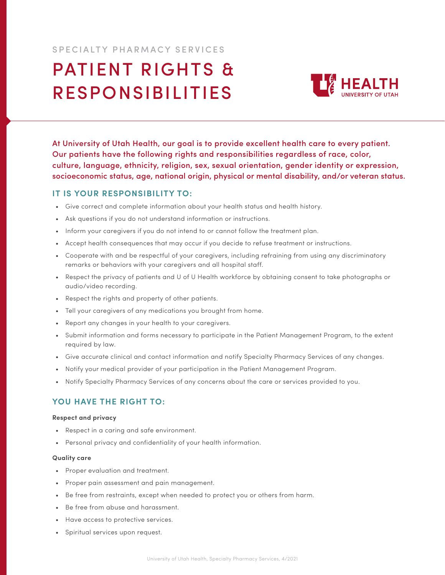## SPECIALTY PHARMACY SERVICES

# PATIENT RIGHTS & RESPONSIBILITIES



At University of Utah Health, our goal is to provide excellent health care to every patient. Our patients have the following rights and responsibilities regardless of race, color, culture, language, ethnicity, religion, sex, sexual orientation, gender identity or expression, socioeconomic status, age, national origin, physical or mental disability, and/or veteran status.

### **IT IS YOUR RESPONSIBILITY TO:**

- Give correct and complete information about your health status and health history.
- Ask questions if you do not understand information or instructions.
- Inform your caregivers if you do not intend to or cannot follow the treatment plan.
- Accept health consequences that may occur if you decide to refuse treatment or instructions.
- Cooperate with and be respectful of your caregivers, including refraining from using any discriminatory remarks or behaviors with your caregivers and all hospital staff.
- Respect the privacy of patients and U of U Health workforce by obtaining consent to take photographs or audio/video recording.
- Respect the rights and property of other patients.
- Tell your caregivers of any medications you brought from home.
- Report any changes in your health to your caregivers.
- Submit information and forms necessary to participate in the Patient Management Program, to the extent required by law.
- Give accurate clinical and contact information and notify Specialty Pharmacy Services of any changes.
- Notify your medical provider of your participation in the Patient Management Program.
- Notify Specialty Pharmacy Services of any concerns about the care or services provided to you.

## **YOU HAVE THE RIGHT TO:**

#### **Respect and privacy**

- Respect in a caring and safe environment.
- Personal privacy and confidentiality of your health information.

#### **Quality care**

- Proper evaluation and treatment.
- Proper pain assessment and pain management.
- Be free from restraints, except when needed to protect you or others from harm.
- Be free from abuse and harassment.
- Have access to protective services.
- Spiritual services upon request.